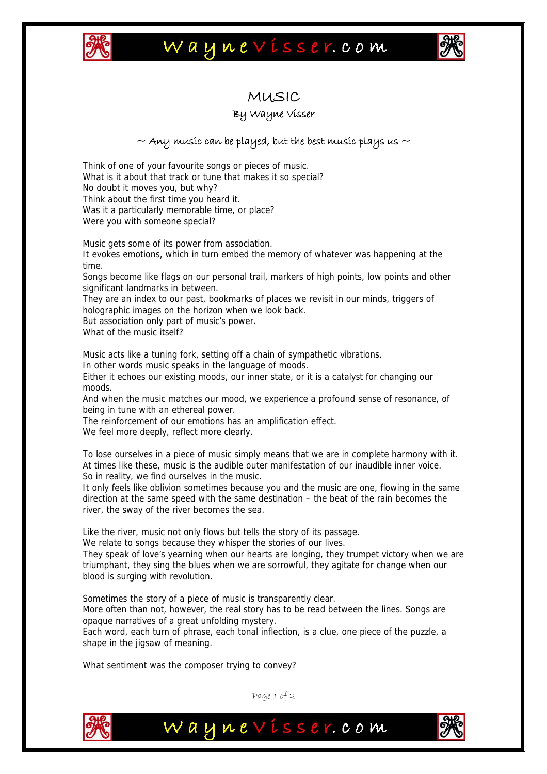

## Waynevisser.com



### MUSIC

#### By Wayne Visser

#### $\sim$  Any music can be played, but the best music plays us  $\sim$

Think of one of your favourite songs or pieces of music. What is it about that track or tune that makes it so special? No doubt it moves you, but why? Think about the first time you heard it. Was it a particularly memorable time, or place? Were you with someone special?

Music gets some of its power from association.

It evokes emotions, which in turn embed the memory of whatever was happening at the time.

Songs become like flags on our personal trail, markers of high points, low points and other significant landmarks in between.

They are an index to our past, bookmarks of places we revisit in our minds, triggers of holographic images on the horizon when we look back.

But association only part of music's power.

What of the music itself?

Music acts like a tuning fork, setting off a chain of sympathetic vibrations.

In other words music speaks in the language of moods.

Either it echoes our existing moods, our inner state, or it is a catalyst for changing our moods.

And when the music matches our mood, we experience a profound sense of resonance, of being in tune with an ethereal power.

The reinforcement of our emotions has an amplification effect.

We feel more deeply, reflect more clearly.

To lose ourselves in a piece of music simply means that we are in complete harmony with it. At times like these, music is the audible outer manifestation of our inaudible inner voice. So in reality, we find ourselves in the music.

It only feels like oblivion sometimes because you and the music are one, flowing in the same direction at the same speed with the same destination – the beat of the rain becomes the river, the sway of the river becomes the sea.

Like the river, music not only flows but tells the story of its passage.

We relate to songs because they whisper the stories of our lives.

They speak of love's yearning when our hearts are longing, they trumpet victory when we are triumphant, they sing the blues when we are sorrowful, they agitate for change when our blood is surging with revolution.

Sometimes the story of a piece of music is transparently clear.

More often than not, however, the real story has to be read between the lines. Songs are opaque narratives of a great unfolding mystery.

Each word, each turn of phrase, each tonal inflection, is a clue, one piece of the puzzle, a shape in the jigsaw of meaning.

What sentiment was the composer trying to convey?



Page 1 of 2